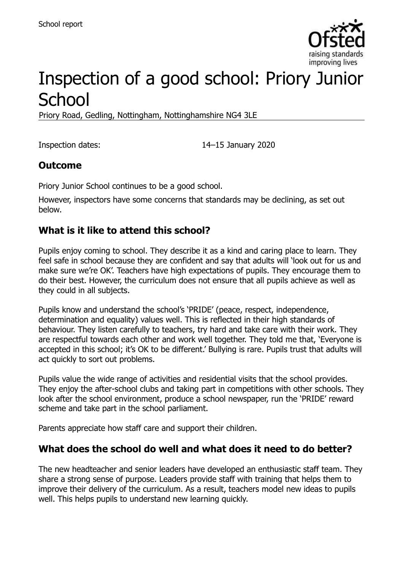

# Inspection of a good school: Priory Junior **School**

Priory Road, Gedling, Nottingham, Nottinghamshire NG4 3LE

Inspection dates: 14–15 January 2020

# **Outcome**

Priory Junior School continues to be a good school.

However, inspectors have some concerns that standards may be declining, as set out below.

# **What is it like to attend this school?**

Pupils enjoy coming to school. They describe it as a kind and caring place to learn. They feel safe in school because they are confident and say that adults will 'look out for us and make sure we're OK'. Teachers have high expectations of pupils. They encourage them to do their best. However, the curriculum does not ensure that all pupils achieve as well as they could in all subjects.

Pupils know and understand the school's 'PRIDE' (peace, respect, independence, determination and equality) values well. This is reflected in their high standards of behaviour. They listen carefully to teachers, try hard and take care with their work. They are respectful towards each other and work well together. They told me that, 'Everyone is accepted in this school; it's OK to be different.' Bullying is rare. Pupils trust that adults will act quickly to sort out problems.

Pupils value the wide range of activities and residential visits that the school provides. They enjoy the after-school clubs and taking part in competitions with other schools. They look after the school environment, produce a school newspaper, run the 'PRIDE' reward scheme and take part in the school parliament.

Parents appreciate how staff care and support their children.

# **What does the school do well and what does it need to do better?**

The new headteacher and senior leaders have developed an enthusiastic staff team. They share a strong sense of purpose. Leaders provide staff with training that helps them to improve their delivery of the curriculum. As a result, teachers model new ideas to pupils well. This helps pupils to understand new learning quickly.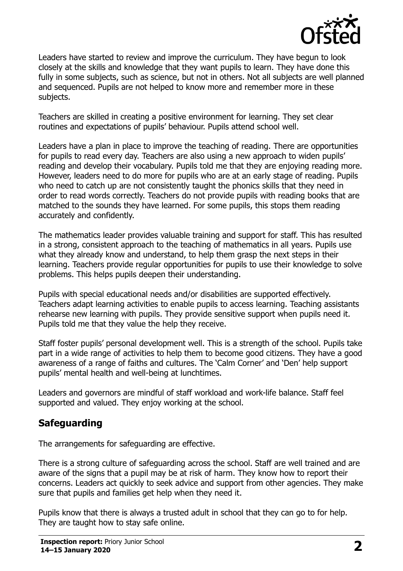

Leaders have started to review and improve the curriculum. They have begun to look closely at the skills and knowledge that they want pupils to learn. They have done this fully in some subjects, such as science, but not in others. Not all subjects are well planned and sequenced. Pupils are not helped to know more and remember more in these subjects.

Teachers are skilled in creating a positive environment for learning. They set clear routines and expectations of pupils' behaviour. Pupils attend school well.

Leaders have a plan in place to improve the teaching of reading. There are opportunities for pupils to read every day. Teachers are also using a new approach to widen pupils' reading and develop their vocabulary. Pupils told me that they are enjoying reading more. However, leaders need to do more for pupils who are at an early stage of reading. Pupils who need to catch up are not consistently taught the phonics skills that they need in order to read words correctly. Teachers do not provide pupils with reading books that are matched to the sounds they have learned. For some pupils, this stops them reading accurately and confidently.

The mathematics leader provides valuable training and support for staff. This has resulted in a strong, consistent approach to the teaching of mathematics in all years. Pupils use what they already know and understand, to help them grasp the next steps in their learning. Teachers provide regular opportunities for pupils to use their knowledge to solve problems. This helps pupils deepen their understanding.

Pupils with special educational needs and/or disabilities are supported effectively. Teachers adapt learning activities to enable pupils to access learning. Teaching assistants rehearse new learning with pupils. They provide sensitive support when pupils need it. Pupils told me that they value the help they receive.

Staff foster pupils' personal development well. This is a strength of the school. Pupils take part in a wide range of activities to help them to become good citizens. They have a good awareness of a range of faiths and cultures. The 'Calm Corner' and 'Den' help support pupils' mental health and well-being at lunchtimes.

Leaders and governors are mindful of staff workload and work-life balance. Staff feel supported and valued. They enjoy working at the school.

# **Safeguarding**

The arrangements for safeguarding are effective.

There is a strong culture of safeguarding across the school. Staff are well trained and are aware of the signs that a pupil may be at risk of harm. They know how to report their concerns. Leaders act quickly to seek advice and support from other agencies. They make sure that pupils and families get help when they need it.

Pupils know that there is always a trusted adult in school that they can go to for help. They are taught how to stay safe online.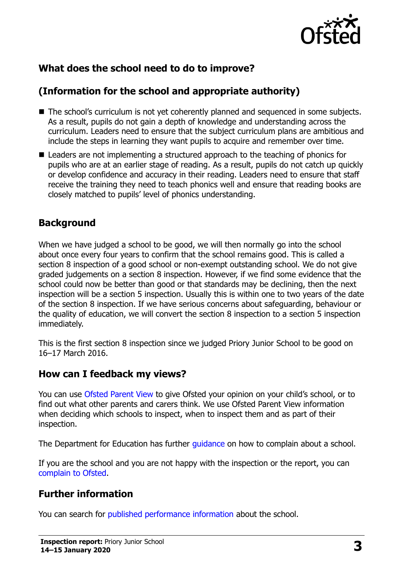

# **What does the school need to do to improve?**

# **(Information for the school and appropriate authority)**

- The school's curriculum is not yet coherently planned and sequenced in some subjects. As a result, pupils do not gain a depth of knowledge and understanding across the curriculum. Leaders need to ensure that the subject curriculum plans are ambitious and include the steps in learning they want pupils to acquire and remember over time.
- Leaders are not implementing a structured approach to the teaching of phonics for pupils who are at an earlier stage of reading. As a result, pupils do not catch up quickly or develop confidence and accuracy in their reading. Leaders need to ensure that staff receive the training they need to teach phonics well and ensure that reading books are closely matched to pupils' level of phonics understanding.

### **Background**

When we have judged a school to be good, we will then normally go into the school about once every four years to confirm that the school remains good. This is called a section 8 inspection of a good school or non-exempt outstanding school. We do not give graded judgements on a section 8 inspection. However, if we find some evidence that the school could now be better than good or that standards may be declining, then the next inspection will be a section 5 inspection. Usually this is within one to two years of the date of the section 8 inspection. If we have serious concerns about safeguarding, behaviour or the quality of education, we will convert the section 8 inspection to a section 5 inspection immediately.

This is the first section 8 inspection since we judged Priory Junior School to be good on 16–17 March 2016.

#### **How can I feedback my views?**

You can use [Ofsted Parent View](https://parentview.ofsted.gov.uk/) to give Ofsted your opinion on your child's school, or to find out what other parents and carers think. We use Ofsted Parent View information when deciding which schools to inspect, when to inspect them and as part of their inspection.

The Department for Education has further quidance on how to complain about a school.

If you are the school and you are not happy with the inspection or the report, you can [complain to Ofsted.](https://www.gov.uk/complain-ofsted-report)

### **Further information**

You can search for [published performance information](http://www.compare-school-performance.service.gov.uk/) about the school.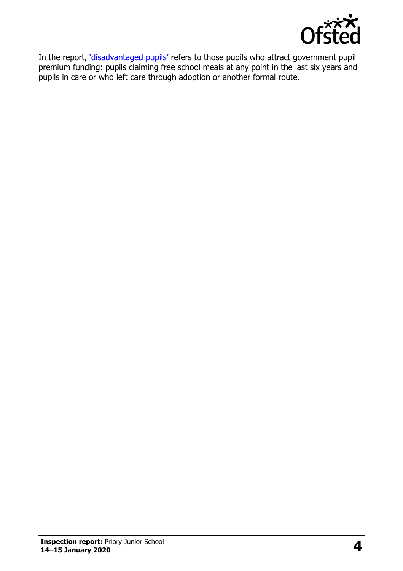

In the report, '[disadvantaged pupils](http://www.gov.uk/guidance/pupil-premium-information-for-schools-and-alternative-provision-settings)' refers to those pupils who attract government pupil premium funding: pupils claiming free school meals at any point in the last six years and pupils in care or who left care through adoption or another formal route.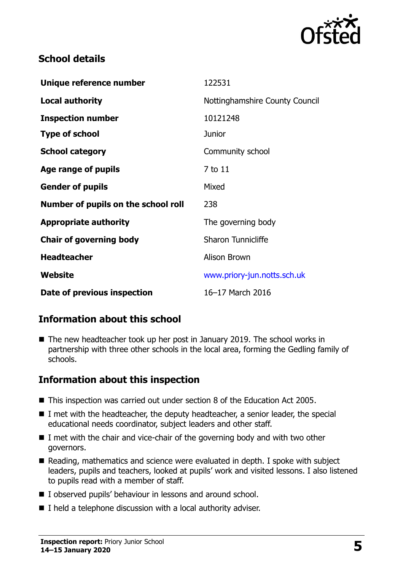

## **School details**

| Unique reference number             | 122531                         |
|-------------------------------------|--------------------------------|
| <b>Local authority</b>              | Nottinghamshire County Council |
| <b>Inspection number</b>            | 10121248                       |
| <b>Type of school</b>               | <b>Junior</b>                  |
| <b>School category</b>              | Community school               |
| Age range of pupils                 | 7 to 11                        |
| <b>Gender of pupils</b>             | Mixed                          |
| Number of pupils on the school roll | 238                            |
| <b>Appropriate authority</b>        | The governing body             |
| <b>Chair of governing body</b>      | <b>Sharon Tunnicliffe</b>      |
| <b>Headteacher</b>                  | Alison Brown                   |
| Website                             | www.priory-jun.notts.sch.uk    |
| Date of previous inspection         | 16-17 March 2016               |

# **Information about this school**

■ The new headteacher took up her post in January 2019. The school works in partnership with three other schools in the local area, forming the Gedling family of schools.

# **Information about this inspection**

- This inspection was carried out under section 8 of the Education Act 2005.
- I met with the headteacher, the deputy headteacher, a senior leader, the special educational needs coordinator, subject leaders and other staff.
- I met with the chair and vice-chair of the governing body and with two other governors.
- Reading, mathematics and science were evaluated in depth. I spoke with subject leaders, pupils and teachers, looked at pupils' work and visited lessons. I also listened to pupils read with a member of staff.
- I observed pupils' behaviour in lessons and around school.
- $\blacksquare$  I held a telephone discussion with a local authority adviser.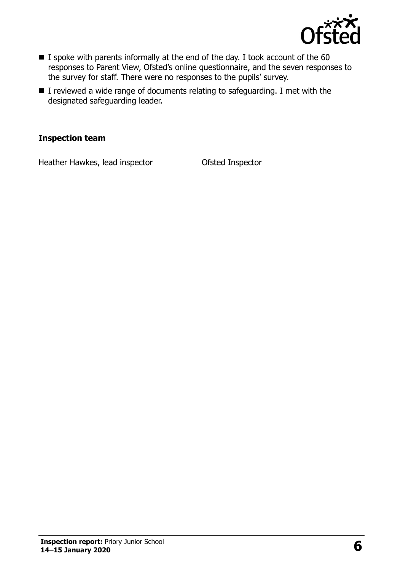

- I spoke with parents informally at the end of the day. I took account of the 60 responses to Parent View, Ofsted's online questionnaire, and the seven responses to the survey for staff. There were no responses to the pupils' survey.
- I reviewed a wide range of documents relating to safeguarding. I met with the designated safeguarding leader.

#### **Inspection team**

Heather Hawkes, lead inspector Ofsted Inspector